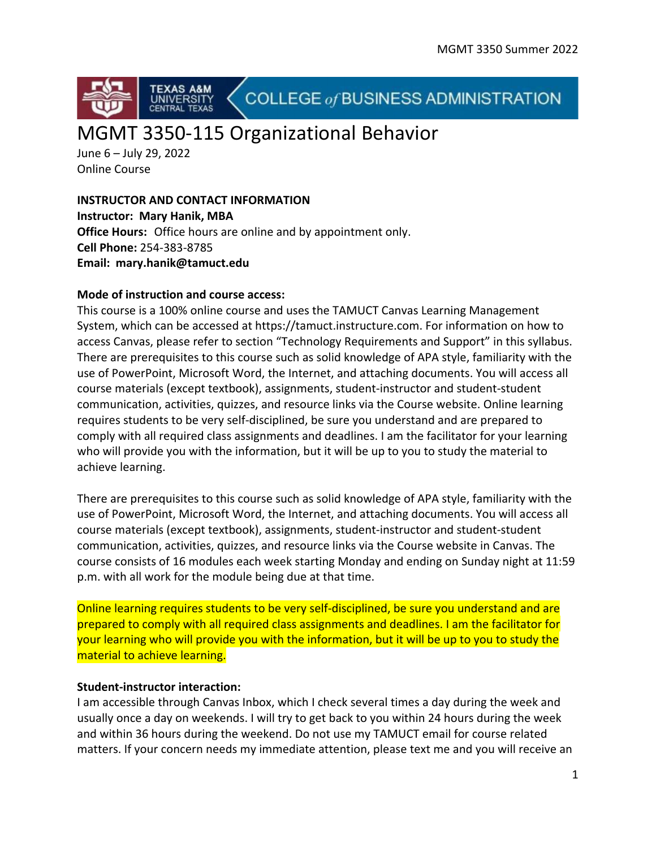

COLLEGE of BUSINESS ADMINISTRATION

# MGMT 3350-115 Organizational Behavior

June 6 – July 29, 2022 Online Course

**INSTRUCTOR AND CONTACT INFORMATION Instructor: Mary Hanik, MBA Office Hours:** Office hours are online and by appointment only. **Cell Phone:** 254-383-8785 **Email: mary.hanik@tamuct.edu**

# **Mode of instruction and course access:**

This course is a 100% online course and uses the TAMUCT Canvas Learning Management System, which can be accessed at https://tamuct.instructure.com. For information on how to access Canvas, please refer to section "Technology Requirements and Support" in this syllabus. There are prerequisites to this course such as solid knowledge of APA style, familiarity with the use of PowerPoint, Microsoft Word, the Internet, and attaching documents. You will access all course materials (except textbook), assignments, student-instructor and student-student communication, activities, quizzes, and resource links via the Course website. Online learning requires students to be very self-disciplined, be sure you understand and are prepared to comply with all required class assignments and deadlines. I am the facilitator for your learning who will provide you with the information, but it will be up to you to study the material to achieve learning.

There are prerequisites to this course such as solid knowledge of APA style, familiarity with the use of PowerPoint, Microsoft Word, the Internet, and attaching documents. You will access all course materials (except textbook), assignments, student-instructor and student-student communication, activities, quizzes, and resource links via the Course website in Canvas. The course consists of 16 modules each week starting Monday and ending on Sunday night at 11:59 p.m. with all work for the module being due at that time.

Online learning requires students to be very self-disciplined, be sure you understand and are prepared to comply with all required class assignments and deadlines. I am the facilitator for your learning who will provide you with the information, but it will be up to you to study the material to achieve learning.

# **Student-instructor interaction:**

I am accessible through Canvas Inbox, which I check several times a day during the week and usually once a day on weekends. I will try to get back to you within 24 hours during the week and within 36 hours during the weekend. Do not use my TAMUCT email for course related matters. If your concern needs my immediate attention, please text me and you will receive an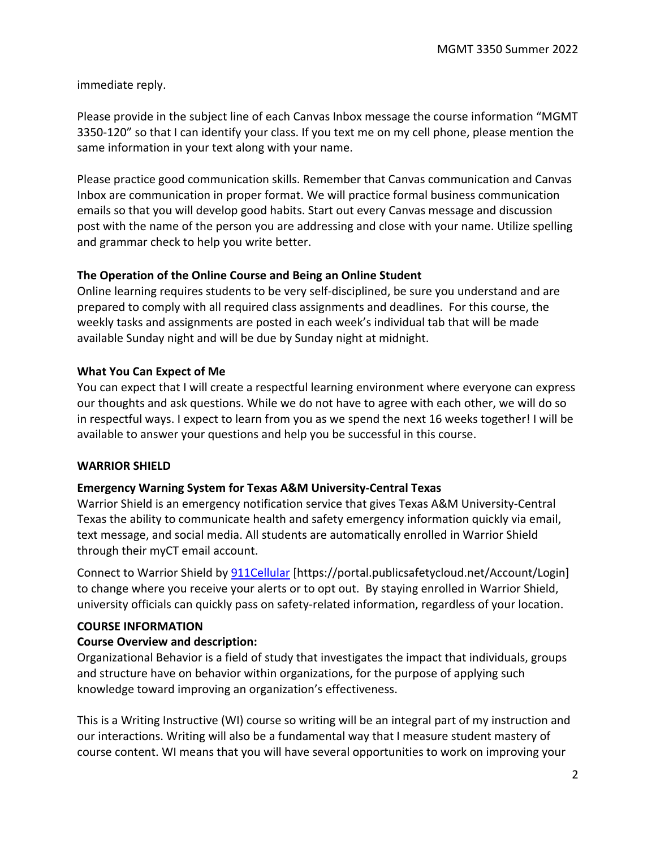immediate reply.

Please provide in the subject line of each Canvas Inbox message the course information "MGMT 3350-120" so that I can identify your class. If you text me on my cell phone, please mention the same information in your text along with your name.

Please practice good communication skills. Remember that Canvas communication and Canvas Inbox are communication in proper format. We will practice formal business communication emails so that you will develop good habits. Start out every Canvas message and discussion post with the name of the person you are addressing and close with your name. Utilize spelling and grammar check to help you write better.

# **The Operation of the Online Course and Being an Online Student**

Online learning requires students to be very self-disciplined, be sure you understand and are prepared to comply with all required class assignments and deadlines. For this course, the weekly tasks and assignments are posted in each week's individual tab that will be made available Sunday night and will be due by Sunday night at midnight.

# **What You Can Expect of Me**

You can expect that I will create a respectful learning environment where everyone can express our thoughts and ask questions. While we do not have to agree with each other, we will do so in respectful ways. I expect to learn from you as we spend the next 16 weeks together! I will be available to answer your questions and help you be successful in this course.

# **WARRIOR SHIELD**

# **Emergency Warning System for Texas A&M University-Central Texas**

Warrior Shield is an emergency notification service that gives Texas A&M University-Central Texas the ability to communicate health and safety emergency information quickly via email, text message, and social media. All students are automatically enrolled in Warrior Shield through their myCT email account.

Connect to Warrior Shield by [911Cellular](https://portal.publicsafetycloud.net/Texas-AM-Central/alert-management) [https://portal.publicsafetycloud.net/Account/Login] to change where you receive your alerts or to opt out. By staying enrolled in Warrior Shield, university officials can quickly pass on safety-related information, regardless of your location.

# **COURSE INFORMATION**

# **Course Overview and description:**

Organizational Behavior is a field of study that investigates the impact that individuals, groups and structure have on behavior within organizations, for the purpose of applying such knowledge toward improving an organization's effectiveness.

This is a Writing Instructive (WI) course so writing will be an integral part of my instruction and our interactions. Writing will also be a fundamental way that I measure student mastery of course content. WI means that you will have several opportunities to work on improving your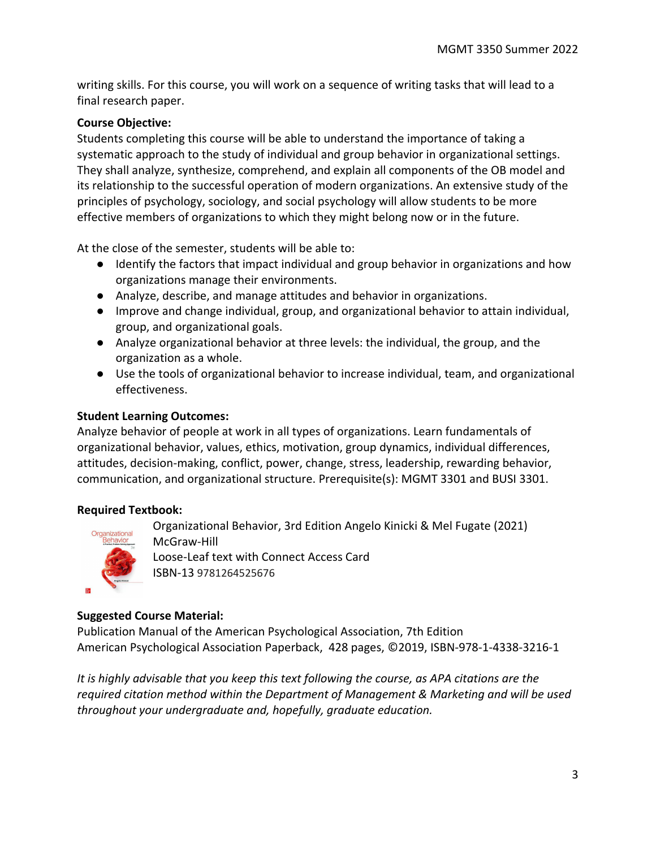writing skills. For this course, you will work on a sequence of writing tasks that will lead to a final research paper.

# **Course Objective:**

Students completing this course will be able to understand the importance of taking a systematic approach to the study of individual and group behavior in organizational settings. They shall analyze, synthesize, comprehend, and explain all components of the OB model and its relationship to the successful operation of modern organizations. An extensive study of the principles of psychology, sociology, and social psychology will allow students to be more effective members of organizations to which they might belong now or in the future.

At the close of the semester, students will be able to:

- Identify the factors that impact individual and group behavior in organizations and how organizations manage their environments.
- Analyze, describe, and manage attitudes and behavior in organizations.
- Improve and change individual, group, and organizational behavior to attain individual, group, and organizational goals.
- Analyze organizational behavior at three levels: the individual, the group, and the organization as a whole.
- Use the tools of organizational behavior to increase individual, team, and organizational effectiveness.

# **Student Learning Outcomes:**

Analyze behavior of people at work in all types of organizations. Learn fundamentals of organizational behavior, values, ethics, motivation, group dynamics, individual differences, attitudes, decision-making, conflict, power, change, stress, leadership, rewarding behavior, communication, and organizational structure. Prerequisite(s): MGMT 3301 and BUSI 3301.

# **Required Textbook:**



Organizational Behavior, 3rd Edition Angelo Kinicki & Mel Fugate (2021) McGraw-Hill Loose-Leaf text with Connect Access Card ISBN-13 9781264525676

# **Suggested Course Material:**

Publication Manual of the American Psychological Association, 7th Edition American Psychological Association Paperback, 428 pages, ©2019, ISBN-978-1-4338-3216-1

*It is highly advisable that you keep this text following the course, as APA citations are the required citation method within the Department of Management & Marketing and will be used throughout your undergraduate and, hopefully, graduate education.*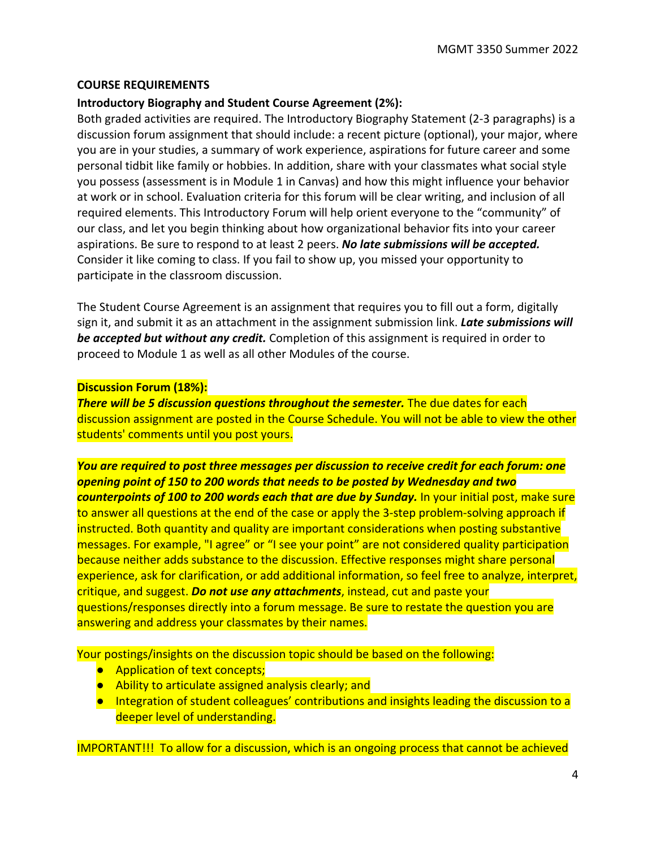#### **COURSE REQUIREMENTS**

# **Introductory Biography and Student Course Agreement (2%):**

Both graded activities are required. The Introductory Biography Statement (2-3 paragraphs) is a discussion forum assignment that should include: a recent picture (optional), your major, where you are in your studies, a summary of work experience, aspirations for future career and some personal tidbit like family or hobbies. In addition, share with your classmates what social style you possess (assessment is in Module 1 in Canvas) and how this might influence your behavior at work or in school. Evaluation criteria for this forum will be clear writing, and inclusion of all required elements. This Introductory Forum will help orient everyone to the "community" of our class, and let you begin thinking about how organizational behavior fits into your career aspirations. Be sure to respond to at least 2 peers. *No late submissions will be accepted.* Consider it like coming to class. If you fail to show up, you missed your opportunity to participate in the classroom discussion.

The Student Course Agreement is an assignment that requires you to fill out a form, digitally sign it, and submit it as an attachment in the assignment submission link. *Late submissions will be accepted but without any credit.* Completion of this assignment is required in order to proceed to Module 1 as well as all other Modules of the course.

#### **Discussion Forum (18%):**

**There will be 5 discussion questions throughout the semester.** The due dates for each discussion assignment are posted in the Course Schedule. You will not be able to view the other students' comments until you post yours.

*You are required to post three messages per discussion to receive credit for each forum: one opening point of 150 to 200 words that needs to be posted by Wednesday and two counterpoints of 100 to 200 words each that are due by Sunday.* In your initial post, make sure to answer all questions at the end of the case or apply the 3-step problem-solving approach if instructed. Both quantity and quality are important considerations when posting substantive messages. For example, "I agree" or "I see your point" are not considered quality participation because neither adds substance to the discussion. Effective responses might share personal experience, ask for clarification, or add additional information, so feel free to analyze, interpret, critique, and suggest. *Do not use any attachments*, instead, cut and paste your questions/responses directly into a forum message. Be sure to restate the question you are answering and address your classmates by their names.

Your postings/insights on the discussion topic should be based on the following:

- Application of text concepts;
- Ability to articulate assigned analysis clearly; and
- Integration of student colleagues' contributions and insights leading the discussion to a deeper level of understanding.

IMPORTANT!!! To allow for a discussion, which is an ongoing process that cannot be achieved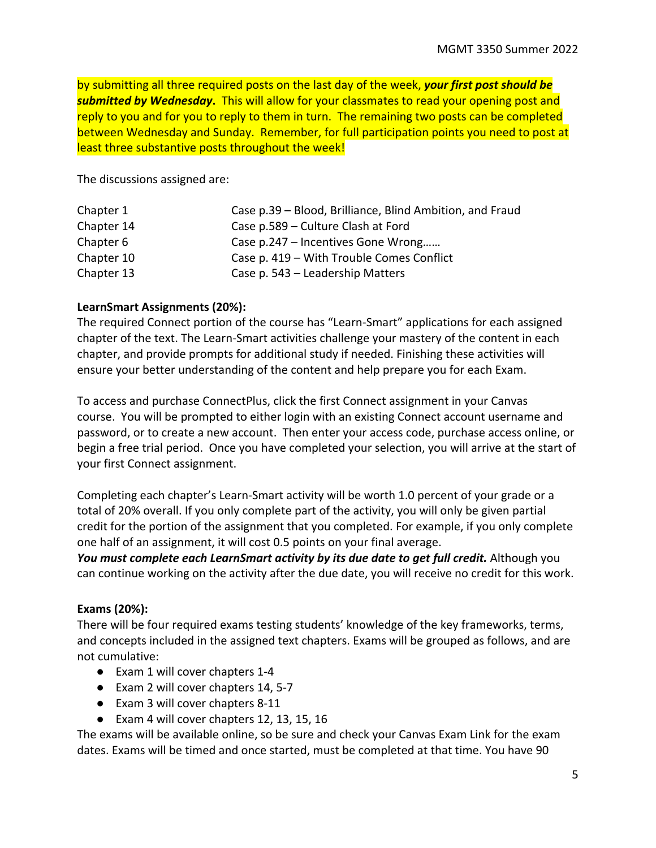by submitting all three required posts on the last day of the week, *your first post should be submitted by Wednesday***.** This will allow for your classmates to read your opening post and reply to you and for you to reply to them in turn. The remaining two posts can be completed between Wednesday and Sunday. Remember, for full participation points you need to post at least three substantive posts throughout the week!

The discussions assigned are:

| Chapter 1  | Case p.39 – Blood, Brilliance, Blind Ambition, and Fraud |
|------------|----------------------------------------------------------|
| Chapter 14 | Case p.589 – Culture Clash at Ford                       |
| Chapter 6  | Case p.247 - Incentives Gone Wrong                       |
| Chapter 10 | Case p. 419 - With Trouble Comes Conflict                |
| Chapter 13 | Case p. 543 – Leadership Matters                         |

# **LearnSmart Assignments (20%):**

The required Connect portion of the course has "Learn-Smart" applications for each assigned chapter of the text. The Learn-Smart activities challenge your mastery of the content in each chapter, and provide prompts for additional study if needed. Finishing these activities will ensure your better understanding of the content and help prepare you for each Exam.

To access and purchase ConnectPlus, click the first Connect assignment in your Canvas course. You will be prompted to either login with an existing Connect account username and password, or to create a new account. Then enter your access code, purchase access online, or begin a free trial period. Once you have completed your selection, you will arrive at the start of your first Connect assignment.

Completing each chapter's Learn-Smart activity will be worth 1.0 percent of your grade or a total of 20% overall. If you only complete part of the activity, you will only be given partial credit for the portion of the assignment that you completed. For example, if you only complete one half of an assignment, it will cost 0.5 points on your final average.

You must complete each LearnSmart activity by its due date to get full credit. Although you can continue working on the activity after the due date, you will receive no credit for this work.

# **Exams (20%):**

There will be four required exams testing students' knowledge of the key frameworks, terms, and concepts included in the assigned text chapters. Exams will be grouped as follows, and are not cumulative:

- Exam 1 will cover chapters 1-4
- Exam 2 will cover chapters 14, 5-7
- Exam 3 will cover chapters 8-11
- Exam 4 will cover chapters 12, 13, 15, 16

The exams will be available online, so be sure and check your Canvas Exam Link for the exam dates. Exams will be timed and once started, must be completed at that time. You have 90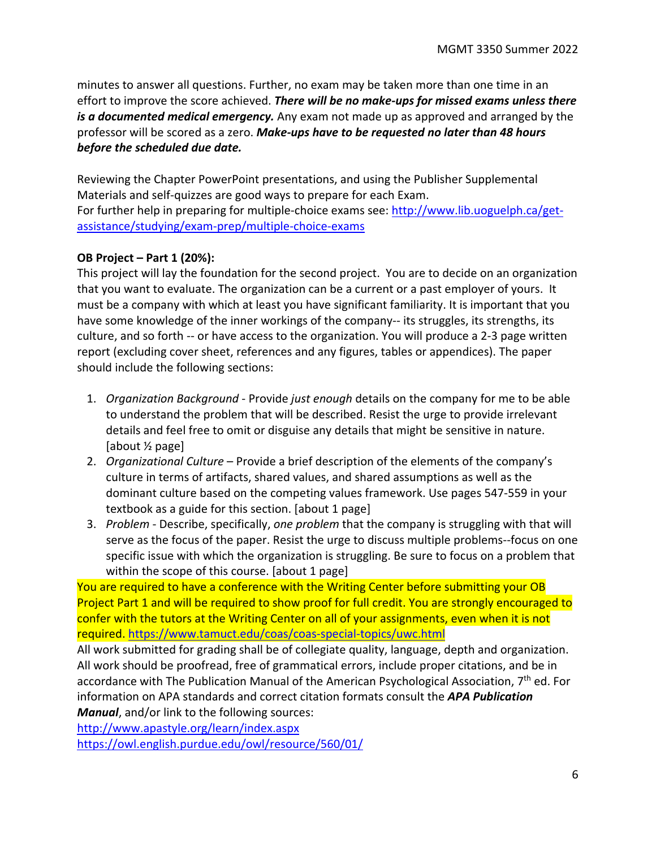minutes to answer all questions. Further, no exam may be taken more than one time in an effort to improve the score achieved. *There will be no make-ups for missed exams unless there is a documented medical emergency.* Any exam not made up as approved and arranged by the professor will be scored as a zero. *Make-ups have to be requested no later than 48 hours before the scheduled due date.*

Reviewing the Chapter PowerPoint presentations, and using the Publisher Supplemental Materials and self-quizzes are good ways to prepare for each Exam. For further help in preparing for multiple-choice exams see[: http://www.lib.uoguelph.ca/get](http://www.lib.uoguelph.ca/get-assistance/studying/exam-prep/multiple-choice-exams)[assistance/studying/exam-prep/multiple-choice-exams](http://www.lib.uoguelph.ca/get-assistance/studying/exam-prep/multiple-choice-exams)

# **OB Project – Part 1 (20%):**

This project will lay the foundation for the second project. You are to decide on an organization that you want to evaluate. The organization can be a current or a past employer of yours. It must be a company with which at least you have significant familiarity. It is important that you have some knowledge of the inner workings of the company-- its struggles, its strengths, its culture, and so forth -- or have access to the organization. You will produce a 2-3 page written report (excluding cover sheet, references and any figures, tables or appendices). The paper should include the following sections:

- 1. *Organization Background* Provide *just enough* details on the company for me to be able to understand the problem that will be described. Resist the urge to provide irrelevant details and feel free to omit or disguise any details that might be sensitive in nature. [about ½ page]
- 2. *Organizational Culture* Provide a brief description of the elements of the company's culture in terms of artifacts, shared values, and shared assumptions as well as the dominant culture based on the competing values framework. Use pages 547-559 in your textbook as a guide for this section. [about 1 page]
- 3. *Problem* Describe, specifically, *one problem* that the company is struggling with that will serve as the focus of the paper. Resist the urge to discuss multiple problems--focus on one specific issue with which the organization is struggling. Be sure to focus on a problem that within the scope of this course. [about 1 page]

You are required to have a conference with the Writing Center before submitting your OB Project Part 1 and will be required to show proof for full credit. You are strongly encouraged to confer with the tutors at the Writing Center on all of your assignments, even when it is not required[. https://www.tamuct.edu/coas/coas-special-topics/uwc.html](https://www.tamuct.edu/coas/coas-special-topics/uwc.html)

All work submitted for grading shall be of collegiate quality, language, depth and organization. All work should be proofread, free of grammatical errors, include proper citations, and be in accordance with The Publication Manual of the American Psychological Association,  $7<sup>th</sup>$  ed. For information on APA standards and correct citation formats consult the *APA Publication Manual*, and/or link to the following sources:

<http://www.apastyle.org/learn/index.aspx> <https://owl.english.purdue.edu/owl/resource/560/01/>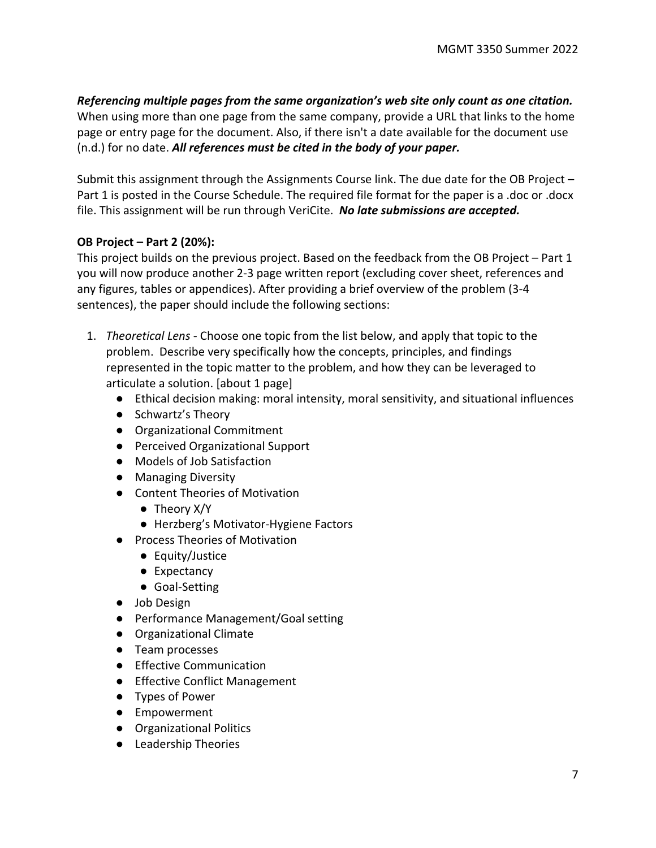*Referencing multiple pages from the same organization's web site only count as one citation.* When using more than one page from the same company, provide a URL that links to the home page or entry page for the document. Also, if there isn't a date available for the document use (n.d.) for no date. *All references must be cited in the body of your paper.*

Submit this assignment through the Assignments Course link. The due date for the OB Project – Part 1 is posted in the Course Schedule. The required file format for the paper is a .doc or .docx file. This assignment will be run through VeriCite. *No late submissions are accepted.*

# **OB Project – Part 2 (20%):**

This project builds on the previous project. Based on the feedback from the OB Project – Part 1 you will now produce another 2-3 page written report (excluding cover sheet, references and any figures, tables or appendices). After providing a brief overview of the problem (3-4 sentences), the paper should include the following sections:

- 1. *Theoretical Lens* Choose one topic from the list below, and apply that topic to the problem. Describe very specifically how the concepts, principles, and findings represented in the topic matter to the problem, and how they can be leveraged to articulate a solution. [about 1 page]
	- Ethical decision making: moral intensity, moral sensitivity, and situational influences
	- Schwartz's Theory
	- Organizational Commitment
	- Perceived Organizational Support
	- Models of Job Satisfaction
	- Managing Diversity
	- Content Theories of Motivation
		- Theory X/Y
		- Herzberg's Motivator-Hygiene Factors
	- Process Theories of Motivation
		- Equity/Justice
		- Expectancy
		- Goal-Setting
	- Job Design
	- Performance Management/Goal setting
	- Organizational Climate
	- Team processes
	- Effective Communication
	- Effective Conflict Management
	- Types of Power
	- Empowerment
	- Organizational Politics
	- Leadership Theories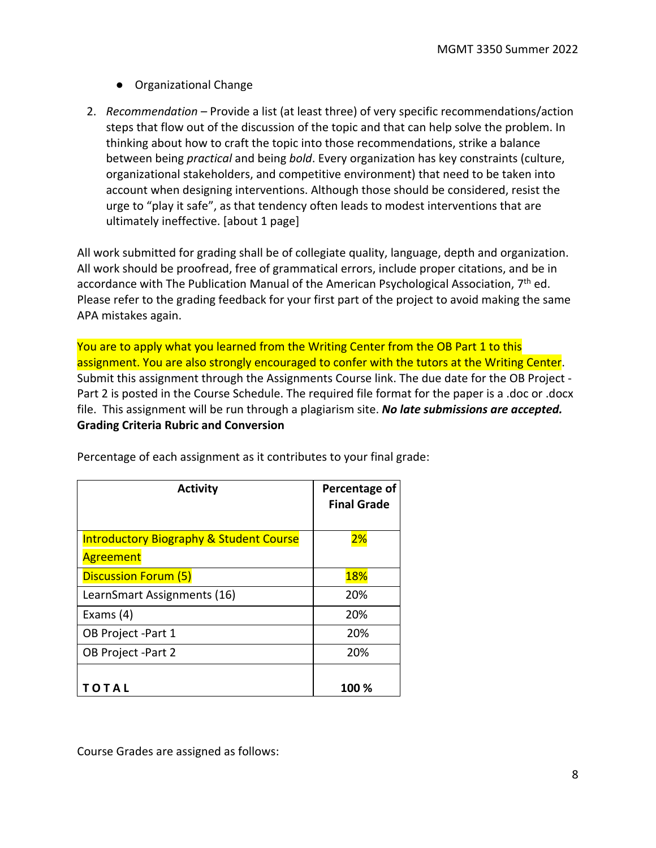- Organizational Change
- 2. *Recommendation* Provide a list (at least three) of very specific recommendations/action steps that flow out of the discussion of the topic and that can help solve the problem. In thinking about how to craft the topic into those recommendations, strike a balance between being *practical* and being *bold*. Every organization has key constraints (culture, organizational stakeholders, and competitive environment) that need to be taken into account when designing interventions. Although those should be considered, resist the urge to "play it safe", as that tendency often leads to modest interventions that are ultimately ineffective. [about 1 page]

All work submitted for grading shall be of collegiate quality, language, depth and organization. All work should be proofread, free of grammatical errors, include proper citations, and be in accordance with The Publication Manual of the American Psychological Association,  $7<sup>th</sup>$  ed. Please refer to the grading feedback for your first part of the project to avoid making the same APA mistakes again.

You are to apply what you learned from the Writing Center from the OB Part 1 to this assignment. You are also strongly encouraged to confer with the tutors at the Writing Center. Submit this assignment through the Assignments Course link. The due date for the OB Project - Part 2 is posted in the Course Schedule. The required file format for the paper is a .doc or .docx file. This assignment will be run through a plagiarism site. *No late submissions are accepted.* **Grading Criteria Rubric and Conversion** 

| <b>Activity</b>                                    | Percentage of<br><b>Final Grade</b> |
|----------------------------------------------------|-------------------------------------|
| <b>Introductory Biography &amp; Student Course</b> | 2%                                  |
| <b>Agreement</b>                                   |                                     |
| <b>Discussion Forum (5)</b>                        | <b>18%</b>                          |
| LearnSmart Assignments (16)                        | 20%                                 |
| Exams $(4)$                                        | 20%                                 |
| OB Project -Part 1                                 | 20%                                 |
| OB Project -Part 2                                 | 20%                                 |
|                                                    |                                     |
| OTAL                                               | 100 %                               |

Percentage of each assignment as it contributes to your final grade:

Course Grades are assigned as follows: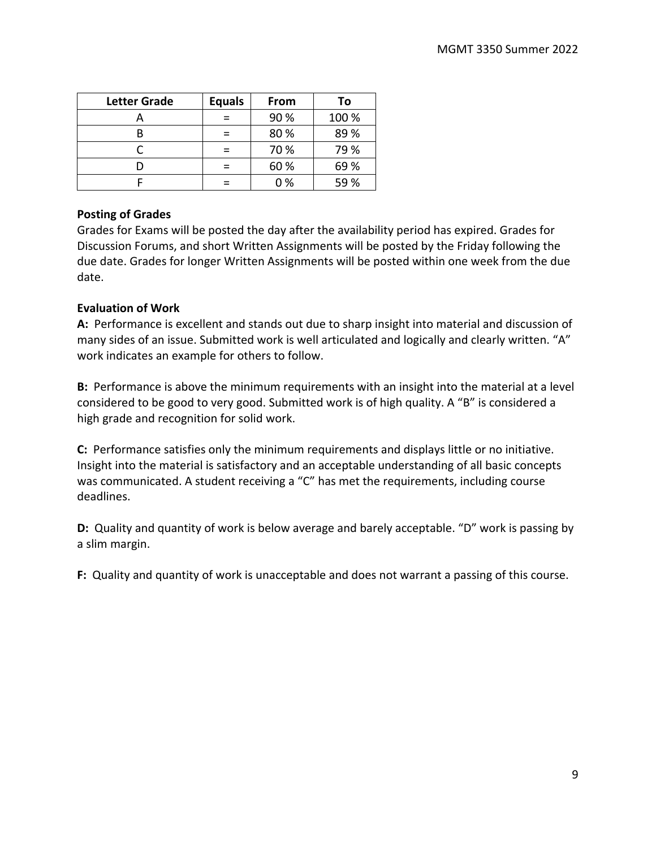| <b>Letter Grade</b> | <b>Equals</b> | From | To    |
|---------------------|---------------|------|-------|
|                     |               | 90 % | 100 % |
|                     |               | 80%  | 89%   |
|                     |               | 70 % | 79 %  |
|                     |               | 60 % | 69%   |
|                     |               | 0%   | 59 %  |

# **Posting of Grades**

Grades for Exams will be posted the day after the availability period has expired. Grades for Discussion Forums, and short Written Assignments will be posted by the Friday following the due date. Grades for longer Written Assignments will be posted within one week from the due date.

# **Evaluation of Work**

**A:** Performance is excellent and stands out due to sharp insight into material and discussion of many sides of an issue. Submitted work is well articulated and logically and clearly written. "A" work indicates an example for others to follow.

**B:** Performance is above the minimum requirements with an insight into the material at a level considered to be good to very good. Submitted work is of high quality. A "B" is considered a high grade and recognition for solid work.

**C:** Performance satisfies only the minimum requirements and displays little or no initiative. Insight into the material is satisfactory and an acceptable understanding of all basic concepts was communicated. A student receiving a "C" has met the requirements, including course deadlines.

**D:** Quality and quantity of work is below average and barely acceptable. "D" work is passing by a slim margin.

**F:** Quality and quantity of work is unacceptable and does not warrant a passing of this course.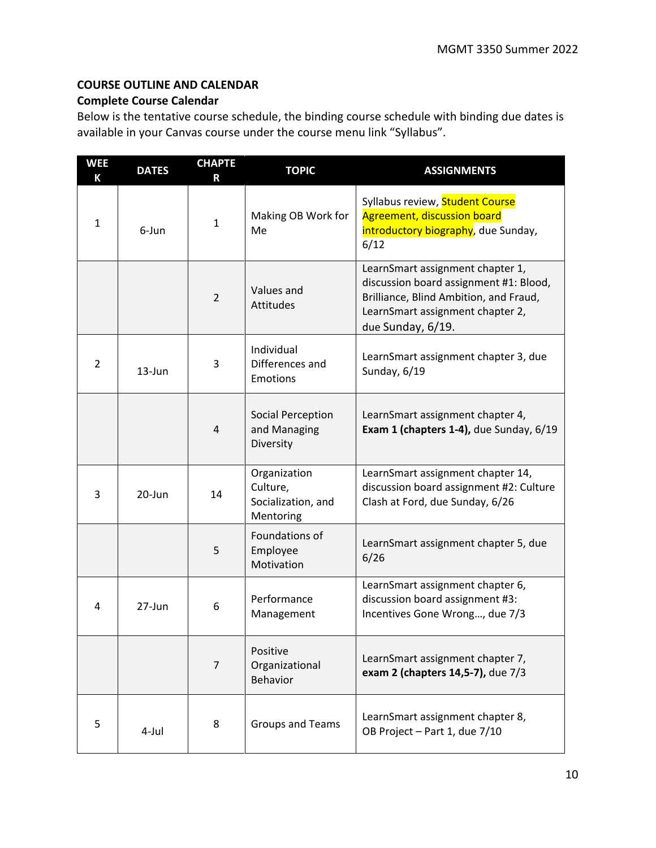# **COURSE OUTLINE AND CALENDAR**

# **Complete Course Calendar**

Below is the tentative course schedule, the binding course schedule with binding due dates is available in your Canvas course under the course menu link "Syllabus".

| <b>WEE</b><br>К | <b>DATES</b> | <b>CHAPTE</b><br>R | <b>TOPIC</b>                                                | <b>ASSIGNMENTS</b>                                                                                                                                                            |
|-----------------|--------------|--------------------|-------------------------------------------------------------|-------------------------------------------------------------------------------------------------------------------------------------------------------------------------------|
| $\mathbf{1}$    | 6-Jun        | $\mathbf{1}$       | Making OB Work for<br>Me                                    | Syllabus review, Student Course<br><b>Agreement, discussion board</b><br>introductory biography, due Sunday,<br>6/12                                                          |
|                 |              | $\overline{2}$     | Values and<br>Attitudes                                     | LearnSmart assignment chapter 1,<br>discussion board assignment #1: Blood,<br>Brilliance, Blind Ambition, and Fraud,<br>LearnSmart assignment chapter 2,<br>due Sunday, 6/19. |
| $\overline{2}$  | $13 - Jun$   | 3                  | Individual<br>Differences and<br><b>Emotions</b>            | LearnSmart assignment chapter 3, due<br>Sunday, 6/19                                                                                                                          |
|                 |              | 4                  | <b>Social Perception</b><br>and Managing<br>Diversity       | LearnSmart assignment chapter 4,<br>Exam 1 (chapters 1-4), due Sunday, 6/19                                                                                                   |
| 3               | 20-Jun       | 14                 | Organization<br>Culture,<br>Socialization, and<br>Mentoring | LearnSmart assignment chapter 14,<br>discussion board assignment #2: Culture<br>Clash at Ford, due Sunday, 6/26                                                               |
|                 |              | 5                  | Foundations of<br>Employee<br>Motivation                    | LearnSmart assignment chapter 5, due<br>6/26                                                                                                                                  |
| 4               | $27 - Jun$   | 6                  | Performance<br>Management                                   | LearnSmart assignment chapter 6,<br>discussion board assignment #3:<br>Incentives Gone Wrong, due 7/3                                                                         |
|                 |              | $\overline{7}$     | Positive<br>Organizational<br><b>Behavior</b>               | LearnSmart assignment chapter 7,<br>exam 2 (chapters 14,5-7), due 7/3                                                                                                         |
| 5               | 4-Jul        | 8                  | Groups and Teams                                            | LearnSmart assignment chapter 8,<br>OB Project - Part 1, due 7/10                                                                                                             |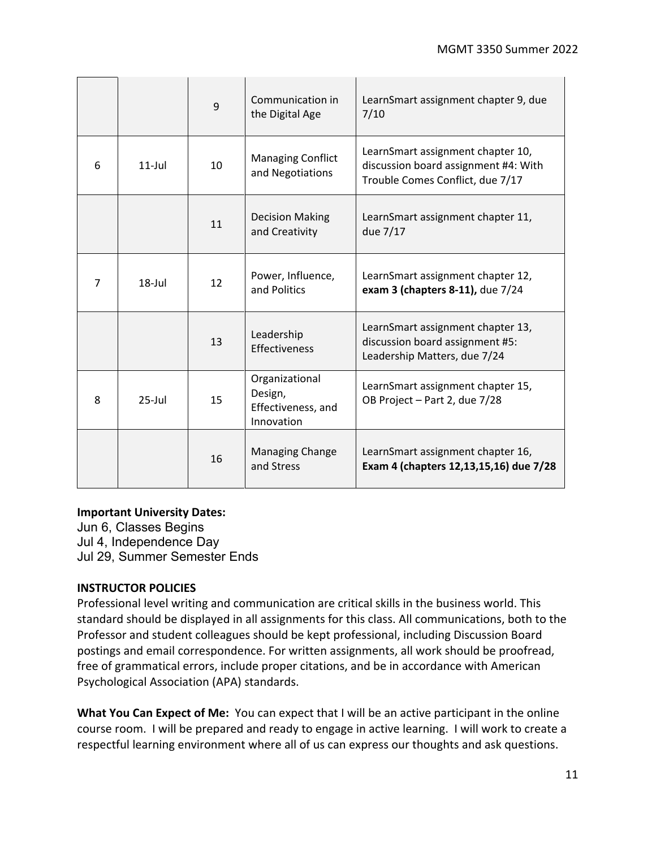|   |           | 9  | Communication in<br>the Digital Age                           | LearnSmart assignment chapter 9, due<br>7/10                                                                  |
|---|-----------|----|---------------------------------------------------------------|---------------------------------------------------------------------------------------------------------------|
| 6 | $11$ -Jul | 10 | <b>Managing Conflict</b><br>and Negotiations                  | LearnSmart assignment chapter 10,<br>discussion board assignment #4: With<br>Trouble Comes Conflict, due 7/17 |
|   |           | 11 | <b>Decision Making</b><br>and Creativity                      | LearnSmart assignment chapter 11,<br>due 7/17                                                                 |
| 7 | $18$ -Jul | 12 | Power, Influence,<br>and Politics                             | LearnSmart assignment chapter 12,<br>exam 3 (chapters 8-11), due 7/24                                         |
|   |           | 13 | Leadership<br>Effectiveness                                   | LearnSmart assignment chapter 13,<br>discussion board assignment #5:<br>Leadership Matters, due 7/24          |
| 8 | $25$ -Jul | 15 | Organizational<br>Design,<br>Effectiveness, and<br>Innovation | LearnSmart assignment chapter 15,<br>OB Project - Part 2, due 7/28                                            |
|   |           | 16 | <b>Managing Change</b><br>and Stress                          | LearnSmart assignment chapter 16,<br>Exam 4 (chapters 12,13,15,16) due 7/28                                   |

# **Important University Dates:**

Jun 6, Classes Begins Jul 4, Independence Day Jul 29, Summer Semester Ends

# **INSTRUCTOR POLICIES**

Professional level writing and communication are critical skills in the business world. This standard should be displayed in all assignments for this class. All communications, both to the Professor and student colleagues should be kept professional, including Discussion Board postings and email correspondence. For written assignments, all work should be proofread, free of grammatical errors, include proper citations, and be in accordance with American Psychological Association (APA) standards.

**What You Can Expect of Me:** You can expect that I will be an active participant in the online course room. I will be prepared and ready to engage in active learning. I will work to create a respectful learning environment where all of us can express our thoughts and ask questions.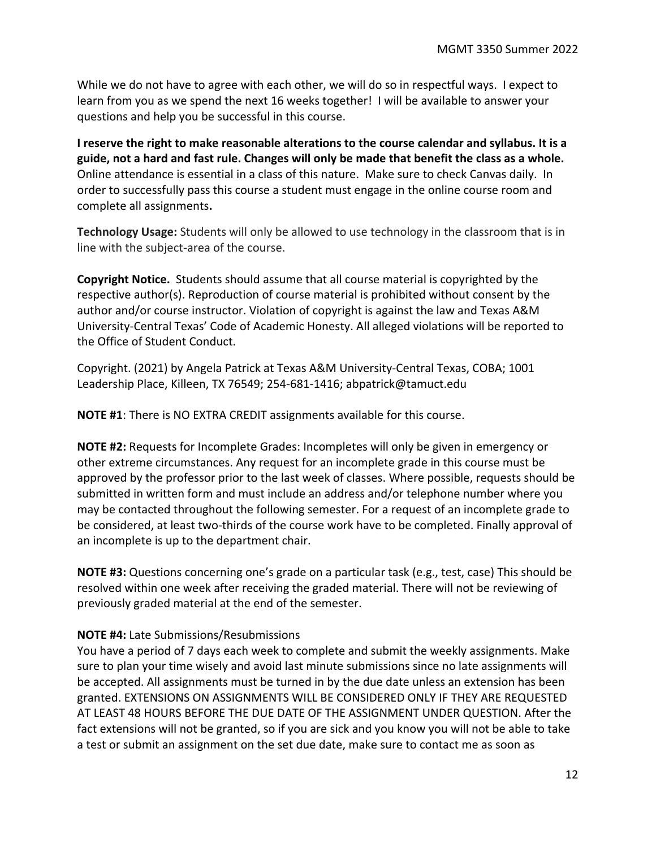While we do not have to agree with each other, we will do so in respectful ways. I expect to learn from you as we spend the next 16 weeks together! I will be available to answer your questions and help you be successful in this course.

**I reserve the right to make reasonable alterations to the course calendar and syllabus. It is a guide, not a hard and fast rule. Changes will only be made that benefit the class as a whole.**  Online attendance is essential in a class of this nature. Make sure to check Canvas daily. In order to successfully pass this course a student must engage in the online course room and complete all assignments**.**

**Technology Usage:** Students will only be allowed to use technology in the classroom that is in line with the subject-area of the course.

**Copyright Notice.** Students should assume that all course material is copyrighted by the respective author(s). Reproduction of course material is prohibited without consent by the author and/or course instructor. Violation of copyright is against the law and Texas A&M University-Central Texas' Code of Academic Honesty. All alleged violations will be reported to the Office of Student Conduct.

Copyright. (2021) by Angela Patrick at Texas A&M University-Central Texas, COBA; 1001 Leadership Place, Killeen, TX 76549; 254-681-1416; abpatrick@tamuct.edu

**NOTE #1**: There is NO EXTRA CREDIT assignments available for this course.

**NOTE #2:** Requests for Incomplete Grades: Incompletes will only be given in emergency or other extreme circumstances. Any request for an incomplete grade in this course must be approved by the professor prior to the last week of classes. Where possible, requests should be submitted in written form and must include an address and/or telephone number where you may be contacted throughout the following semester. For a request of an incomplete grade to be considered, at least two-thirds of the course work have to be completed. Finally approval of an incomplete is up to the department chair.

**NOTE #3:** Questions concerning one's grade on a particular task (e.g., test, case) This should be resolved within one week after receiving the graded material. There will not be reviewing of previously graded material at the end of the semester.

# **NOTE #4:** Late Submissions/Resubmissions

You have a period of 7 days each week to complete and submit the weekly assignments. Make sure to plan your time wisely and avoid last minute submissions since no late assignments will be accepted. All assignments must be turned in by the due date unless an extension has been granted. EXTENSIONS ON ASSIGNMENTS WILL BE CONSIDERED ONLY IF THEY ARE REQUESTED AT LEAST 48 HOURS BEFORE THE DUE DATE OF THE ASSIGNMENT UNDER QUESTION. After the fact extensions will not be granted, so if you are sick and you know you will not be able to take a test or submit an assignment on the set due date, make sure to contact me as soon as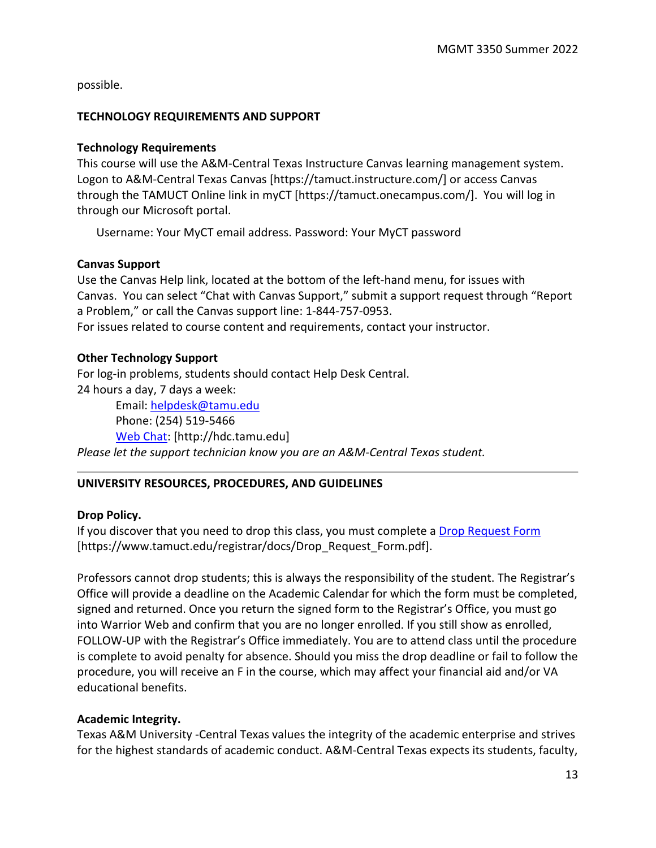possible.

#### **TECHNOLOGY REQUIREMENTS AND SUPPORT**

#### **Technology Requirements**

This course will use the A&M-Central Texas Instructure Canvas learning management system. Logon to A&M-Central Texas Canvas [https://tamuct.instructure.com/] or access Canvas through the TAMUCT Online link in myCT [https://tamuct.onecampus.com/]. You will log in through our Microsoft portal.

Username: Your MyCT email address. Password: Your MyCT password

#### **Canvas Support**

Use the Canvas Help link, located at the bottom of the left-hand menu, for issues with Canvas. You can select "Chat with Canvas Support," submit a support request through "Report a Problem," or call the Canvas support line: 1-844-757-0953. For issues related to course content and requirements, contact your instructor.

#### **Other Technology Support**

For log-in problems, students should contact Help Desk Central. 24 hours a day, 7 days a week:

Email: [helpdesk@tamu.edu](mailto:helpdesk@tamu.edu) Phone: (254) 519-5466 [Web Chat:](http://hdc.tamu.edu/) [http://hdc.tamu.edu] *Please let the support technician know you are an A&M-Central Texas student.*

# **UNIVERSITY RESOURCES, PROCEDURES, AND GUIDELINES**

# **Drop Policy.**

If you discover that you need to drop this class, you must complete a [Drop Request Form](https://www.tamuct.edu/registrar/docs/Drop_Request_Form.pdf) [https://www.tamuct.edu/registrar/docs/Drop\_Request\_Form.pdf].

Professors cannot drop students; this is always the responsibility of the student. The Registrar's Office will provide a deadline on the Academic Calendar for which the form must be completed, signed and returned. Once you return the signed form to the Registrar's Office, you must go into Warrior Web and confirm that you are no longer enrolled. If you still show as enrolled, FOLLOW-UP with the Registrar's Office immediately. You are to attend class until the procedure is complete to avoid penalty for absence. Should you miss the drop deadline or fail to follow the procedure, you will receive an F in the course, which may affect your financial aid and/or VA educational benefits.

# **Academic Integrity.**

Texas A&M University -Central Texas values the integrity of the academic enterprise and strives for the highest standards of academic conduct. A&M-Central Texas expects its students, faculty,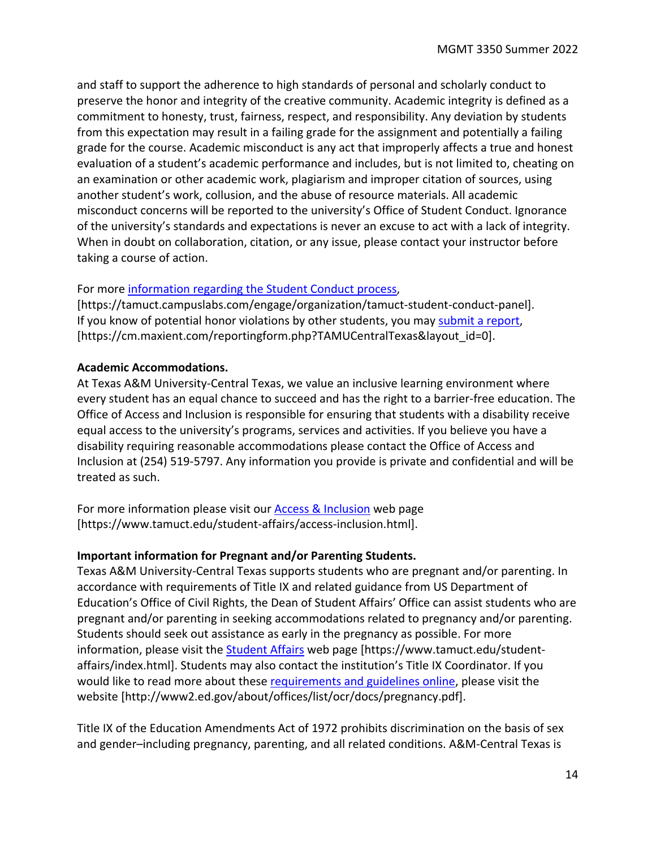and staff to support the adherence to high standards of personal and scholarly conduct to preserve the honor and integrity of the creative community. Academic integrity is defined as a commitment to honesty, trust, fairness, respect, and responsibility. Any deviation by students from this expectation may result in a failing grade for the assignment and potentially a failing grade for the course. Academic misconduct is any act that improperly affects a true and honest evaluation of a student's academic performance and includes, but is not limited to, cheating on an examination or other academic work, plagiarism and improper citation of sources, using another student's work, collusion, and the abuse of resource materials. All academic misconduct concerns will be reported to the university's Office of Student Conduct. Ignorance of the university's standards and expectations is never an excuse to act with a lack of integrity. When in doubt on collaboration, citation, or any issue, please contact your instructor before taking a course of action.

#### For more [information regarding the Student Conduct process,](https://tamuct.campuslabs.com/engage/organization/tamuct-student-conduct-pane)

[https://tamuct.campuslabs.com/engage/organization/tamuct-student-conduct-panel]. If you know of potential honor violations by other students, you may [submit a report,](https://cm.maxient.com/reportingform.php?TAMUCentralTexas&layout_id=0) [https://cm.maxient.com/reportingform.php?TAMUCentralTexas&layout\_id=0].

#### **Academic Accommodations.**

At Texas A&M University-Central Texas, we value an inclusive learning environment where every student has an equal chance to succeed and has the right to a barrier-free education. The Office of Access and Inclusion is responsible for ensuring that students with a disability receive equal access to the university's programs, services and activities. If you believe you have a disability requiring reasonable accommodations please contact the Office of Access and Inclusion at (254) 519-5797. Any information you provide is private and confidential and will be treated as such.

For more information please visit our **Access & Inclusion** web page [https://www.tamuct.edu/student-affairs/access-inclusion.html].

# **Important information for Pregnant and/or Parenting Students.**

Texas A&M University-Central Texas supports students who are pregnant and/or parenting. In accordance with requirements of Title IX and related guidance from US Department of Education's Office of Civil Rights, the Dean of Student Affairs' Office can assist students who are pregnant and/or parenting in seeking accommodations related to pregnancy and/or parenting. Students should seek out assistance as early in the pregnancy as possible. For more information, please visit the [Student Affairs](https://www.tamuct.edu/student-affairs/index.html) web page [https://www.tamuct.edu/studentaffairs/index.html]. Students may also contact the institution's Title IX Coordinator. If you would like to read more about these [requirements and guidelines](http://www2.ed.gov/about/offices/list/ocr/docs/pregnancy.pdf) online, please visit the website [http://www2.ed.gov/about/offices/list/ocr/docs/pregnancy.pdf].

Title IX of the Education Amendments Act of 1972 prohibits discrimination on the basis of sex and gender–including pregnancy, parenting, and all related conditions. A&M-Central Texas is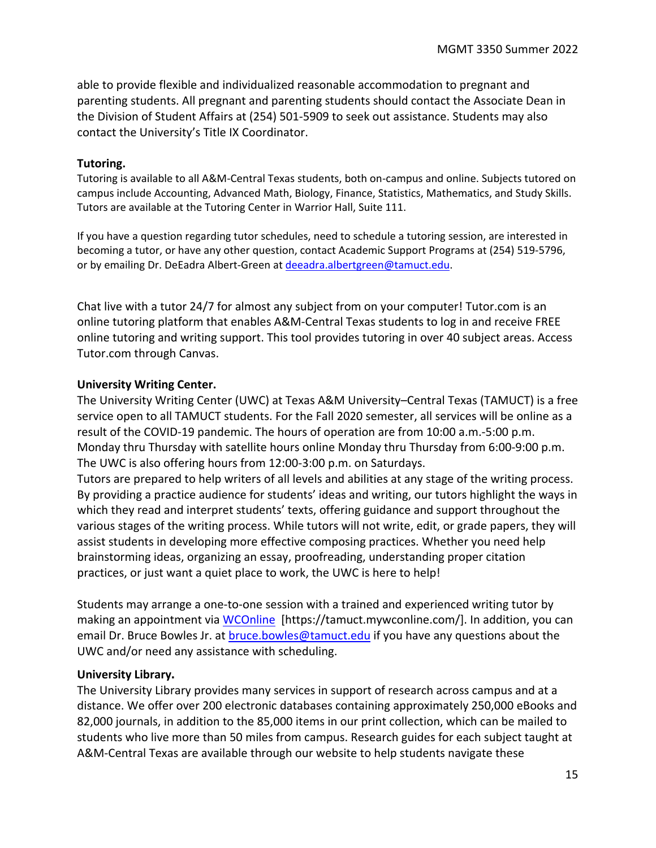able to provide flexible and individualized reasonable accommodation to pregnant and parenting students. All pregnant and parenting students should contact the Associate Dean in the Division of Student Affairs at (254) 501-5909 to seek out assistance. Students may also contact the University's Title IX Coordinator.

#### **Tutoring.**

Tutoring is available to all A&M-Central Texas students, both on-campus and online. Subjects tutored on campus include Accounting, Advanced Math, Biology, Finance, Statistics, Mathematics, and Study Skills. Tutors are available at the Tutoring Center in Warrior Hall, Suite 111.

If you have a question regarding tutor schedules, need to schedule a tutoring session, are interested in becoming a tutor, or have any other question, contact Academic Support Programs at (254) 519-5796, or by emailing Dr. DeEadra Albert-Green a[t deeadra.albertgreen@tamuct.edu.](mailto:deeadra.albertgreen@tamuct.edu)

Chat live with a tutor 24/7 for almost any subject from on your computer! Tutor.com is an online tutoring platform that enables A&M-Central Texas students to log in and receive FREE online tutoring and writing support. This tool provides tutoring in over 40 subject areas. Access Tutor.com through Canvas.

#### **University Writing Center.**

The University Writing Center (UWC) at Texas A&M University–Central Texas (TAMUCT) is a free service open to all TAMUCT students. For the Fall 2020 semester, all services will be online as a result of the COVID-19 pandemic. The hours of operation are from 10:00 a.m.-5:00 p.m. Monday thru Thursday with satellite hours online Monday thru Thursday from 6:00-9:00 p.m. The UWC is also offering hours from 12:00-3:00 p.m. on Saturdays.

Tutors are prepared to help writers of all levels and abilities at any stage of the writing process. By providing a practice audience for students' ideas and writing, our tutors highlight the ways in which they read and interpret students' texts, offering guidance and support throughout the various stages of the writing process. While tutors will not write, edit, or grade papers, they will assist students in developing more effective composing practices. Whether you need help brainstorming ideas, organizing an essay, proofreading, understanding proper citation practices, or just want a quiet place to work, the UWC is here to help!

Students may arrange a one-to-one session with a trained and experienced writing tutor by making an appointment via [WCOnline](https://tamuct.mywconline.com/) [https://tamuct.mywconline.com/]. In addition, you can email Dr. Bruce Bowles Jr. at **bruce.bowles@tamuct.edu** if you have any questions about the UWC and/or need any assistance with scheduling.

#### **University Library.**

The University Library provides many services in support of research across campus and at a distance. We offer over 200 electronic databases containing approximately 250,000 eBooks and 82,000 journals, in addition to the 85,000 items in our print collection, which can be mailed to students who live more than 50 miles from campus. Research guides for each subject taught at A&M-Central Texas are available through our website to help students navigate these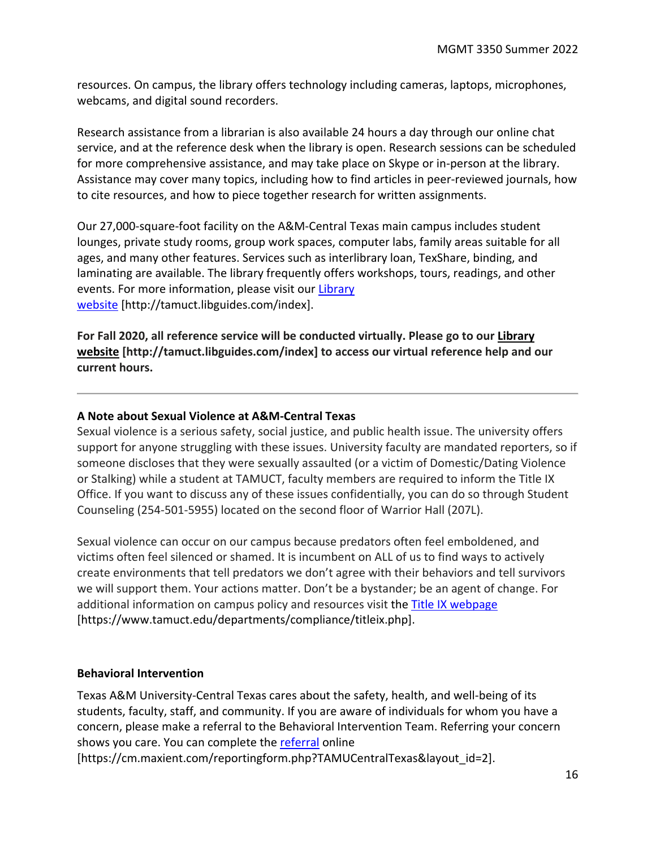resources. On campus, the library offers technology including cameras, laptops, microphones, webcams, and digital sound recorders.

Research assistance from a librarian is also available 24 hours a day through our online chat service, and at the reference desk when the library is open. Research sessions can be scheduled for more comprehensive assistance, and may take place on Skype or in-person at the library. Assistance may cover many topics, including how to find articles in peer-reviewed journals, how to cite resources, and how to piece together research for written assignments.

Our 27,000-square-foot facility on the A&M-Central Texas main campus includes student lounges, private study rooms, group work spaces, computer labs, family areas suitable for all ages, and many other features. Services such as interlibrary loan, TexShare, binding, and laminating are available. The library frequently offers workshops, tours, readings, and other events. For more information, please visit our [Library](https://tamuct.libguides.com/index)  [website](https://tamuct.libguides.com/index) [http://tamuct.libguides.com/index].

**For Fall 2020, all reference service will be conducted virtually. Please go to our [Library](https://tamuct.libguides.com/index)  [website](https://tamuct.libguides.com/index) [http://tamuct.libguides.com/index] to access our virtual reference help and our current hours.**

# **A Note about Sexual Violence at A&M-Central Texas**

Sexual violence is a serious safety, social justice, and public health issue. The university offers support for anyone struggling with these issues. University faculty are mandated reporters, so if someone discloses that they were sexually assaulted (or a victim of Domestic/Dating Violence or Stalking) while a student at TAMUCT, faculty members are required to inform the Title IX Office. If you want to discuss any of these issues confidentially, you can do so through Student Counseling (254-501-5955) located on the second floor of Warrior Hall (207L).

Sexual violence can occur on our campus because predators often feel emboldened, and victims often feel silenced or shamed. It is incumbent on ALL of us to find ways to actively create environments that tell predators we don't agree with their behaviors and tell survivors we will support them. Your actions matter. Don't be a bystander; be an agent of change. For additional information on campus policy and resources visit the [Title IX webpage](https://www.tamuct.edu/departments/compliance/titleix.php) [https://www.tamuct.edu/departments/compliance/titleix.php].

# **Behavioral Intervention**

Texas A&M University-Central Texas cares about the safety, health, and well-being of its students, faculty, staff, and community. If you are aware of individuals for whom you have a concern, please make a referral to the Behavioral Intervention Team. Referring your concern shows you care. You can complete the [referral](https://cm.maxient.com/reportingform.php?TAMUCentralTexas&layout_id=2) online

[https://cm.maxient.com/reportingform.php?TAMUCentralTexas&layout\_id=2].